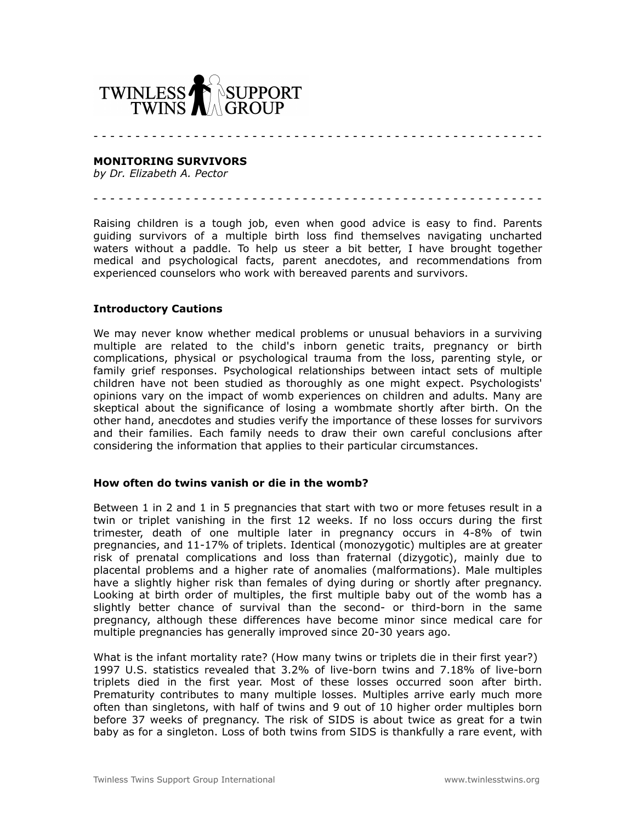

**MONITORING SURVIVORS**

*by Dr. Elizabeth A. Pector*

- - - - - - - - - - - - - - - - - - - - - - - - - - - - - - - - - - - - - - - - - - - - - - - - - - - - - -

- - - - - - - - - - - - - - - - - - - - - - - - - - - - - - - - - - - - - - - - - - - - - - - - - - - - - -

Raising children is a tough job, even when good advice is easy to find. Parents guiding survivors of a multiple birth loss find themselves navigating uncharted waters without a paddle. To help us steer a bit better, I have brought together medical and psychological facts, parent anecdotes, and recommendations from experienced counselors who work with bereaved parents and survivors.

#### **Introductory Cautions**

We may never know whether medical problems or unusual behaviors in a surviving multiple are related to the child's inborn genetic traits, pregnancy or birth complications, physical or psychological trauma from the loss, parenting style, or family grief responses. Psychological relationships between intact sets of multiple children have not been studied as thoroughly as one might expect. Psychologists' opinions vary on the impact of womb experiences on children and adults. Many are skeptical about the significance of losing a wombmate shortly after birth. On the other hand, anecdotes and studies verify the importance of these losses for survivors and their families. Each family needs to draw their own careful conclusions after considering the information that applies to their particular circumstances.

#### **How often do twins vanish or die in the womb?**

Between 1 in 2 and 1 in 5 pregnancies that start with two or more fetuses result in a twin or triplet vanishing in the first 12 weeks. If no loss occurs during the first trimester, death of one multiple later in pregnancy occurs in 4-8% of twin pregnancies, and 11-17% of triplets. Identical (monozygotic) multiples are at greater risk of prenatal complications and loss than fraternal (dizygotic), mainly due to placental problems and a higher rate of anomalies (malformations). Male multiples have a slightly higher risk than females of dying during or shortly after pregnancy. Looking at birth order of multiples, the first multiple baby out of the womb has a slightly better chance of survival than the second- or third-born in the same pregnancy, although these differences have become minor since medical care for multiple pregnancies has generally improved since 20-30 years ago.

What is the infant mortality rate? (How many twins or triplets die in their first year?) 1997 U.S. statistics revealed that 3.2% of live-born twins and 7.18% of live-born triplets died in the first year. Most of these losses occurred soon after birth. Prematurity contributes to many multiple losses. Multiples arrive early much more often than singletons, with half of twins and 9 out of 10 higher order multiples born before 37 weeks of pregnancy. The risk of SIDS is about twice as great for a twin baby as for a singleton. Loss of both twins from SIDS is thankfully a rare event, with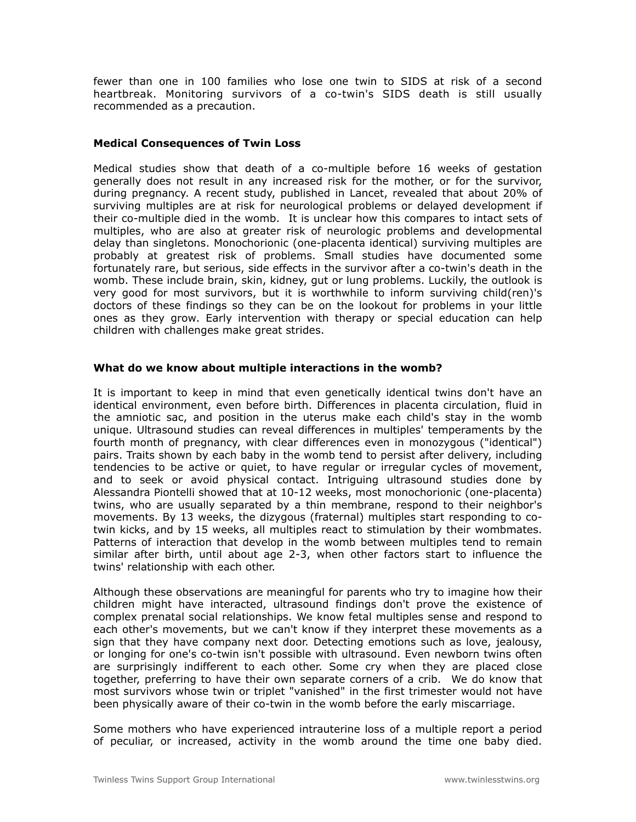fewer than one in 100 families who lose one twin to SIDS at risk of a second heartbreak. Monitoring survivors of a co-twin's SIDS death is still usually recommended as a precaution.

## **Medical Consequences of Twin Loss**

Medical studies show that death of a co-multiple before 16 weeks of gestation generally does not result in any increased risk for the mother, or for the survivor, during pregnancy. A recent study, published in Lancet, revealed that about 20% of surviving multiples are at risk for neurological problems or delayed development if their co-multiple died in the womb. It is unclear how this compares to intact sets of multiples, who are also at greater risk of neurologic problems and developmental delay than singletons. Monochorionic (one-placenta identical) surviving multiples are probably at greatest risk of problems. Small studies have documented some fortunately rare, but serious, side effects in the survivor after a co-twin's death in the womb. These include brain, skin, kidney, gut or lung problems. Luckily, the outlook is very good for most survivors, but it is worthwhile to inform surviving child(ren)'s doctors of these findings so they can be on the lookout for problems in your little ones as they grow. Early intervention with therapy or special education can help children with challenges make great strides.

### **What do we know about multiple interactions in the womb?**

It is important to keep in mind that even genetically identical twins don't have an identical environment, even before birth. Differences in placenta circulation, fluid in the amniotic sac, and position in the uterus make each child's stay in the womb unique. Ultrasound studies can reveal differences in multiples' temperaments by the fourth month of pregnancy, with clear differences even in monozygous ("identical") pairs. Traits shown by each baby in the womb tend to persist after delivery, including tendencies to be active or quiet, to have regular or irregular cycles of movement, and to seek or avoid physical contact. Intriguing ultrasound studies done by Alessandra Piontelli showed that at 10-12 weeks, most monochorionic (one-placenta) twins, who are usually separated by a thin membrane, respond to their neighbor's movements. By 13 weeks, the dizygous (fraternal) multiples start responding to cotwin kicks, and by 15 weeks, all multiples react to stimulation by their wombmates. Patterns of interaction that develop in the womb between multiples tend to remain similar after birth, until about age 2-3, when other factors start to influence the twins' relationship with each other.

Although these observations are meaningful for parents who try to imagine how their children might have interacted, ultrasound findings don't prove the existence of complex prenatal social relationships. We know fetal multiples sense and respond to each other's movements, but we can't know if they interpret these movements as a sign that they have company next door. Detecting emotions such as love, jealousy, or longing for one's co-twin isn't possible with ultrasound. Even newborn twins often are surprisingly indifferent to each other. Some cry when they are placed close together, preferring to have their own separate corners of a crib. We do know that most survivors whose twin or triplet "vanished" in the first trimester would not have been physically aware of their co-twin in the womb before the early miscarriage.

Some mothers who have experienced intrauterine loss of a multiple report a period of peculiar, or increased, activity in the womb around the time one baby died.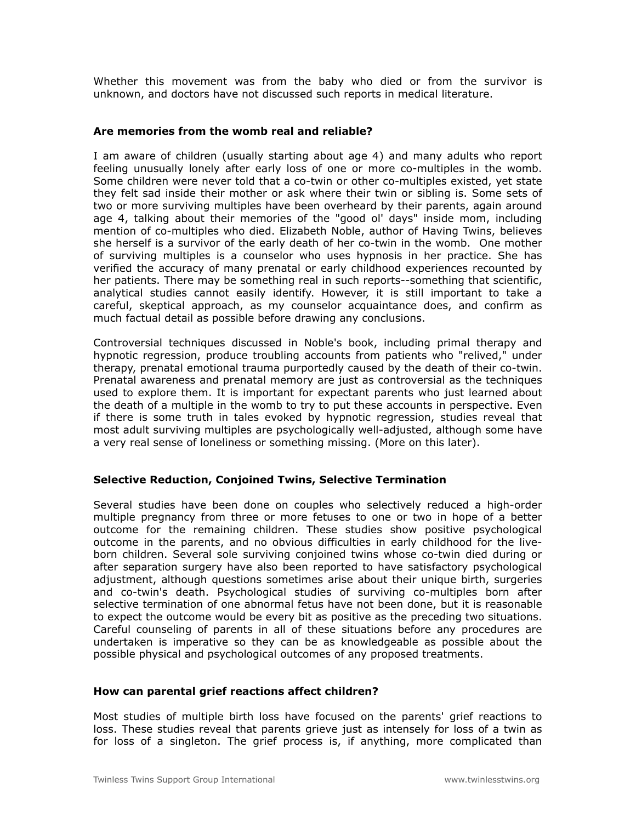Whether this movement was from the baby who died or from the survivor is unknown, and doctors have not discussed such reports in medical literature.

### **Are memories from the womb real and reliable?**

I am aware of children (usually starting about age 4) and many adults who report feeling unusually lonely after early loss of one or more co-multiples in the womb. Some children were never told that a co-twin or other co-multiples existed, yet state they felt sad inside their mother or ask where their twin or sibling is. Some sets of two or more surviving multiples have been overheard by their parents, again around age 4, talking about their memories of the "good ol' days" inside mom, including mention of co-multiples who died. Elizabeth Noble, author of Having Twins, believes she herself is a survivor of the early death of her co-twin in the womb. One mother of surviving multiples is a counselor who uses hypnosis in her practice. She has verified the accuracy of many prenatal or early childhood experiences recounted by her patients. There may be something real in such reports--something that scientific, analytical studies cannot easily identify. However, it is still important to take a careful, skeptical approach, as my counselor acquaintance does, and confirm as much factual detail as possible before drawing any conclusions.

Controversial techniques discussed in Noble's book, including primal therapy and hypnotic regression, produce troubling accounts from patients who "relived," under therapy, prenatal emotional trauma purportedly caused by the death of their co-twin. Prenatal awareness and prenatal memory are just as controversial as the techniques used to explore them. It is important for expectant parents who just learned about the death of a multiple in the womb to try to put these accounts in perspective. Even if there is some truth in tales evoked by hypnotic regression, studies reveal that most adult surviving multiples are psychologically well-adjusted, although some have a very real sense of loneliness or something missing. (More on this later).

## **Selective Reduction, Conjoined Twins, Selective Termination**

Several studies have been done on couples who selectively reduced a high-order multiple pregnancy from three or more fetuses to one or two in hope of a better outcome for the remaining children. These studies show positive psychological outcome in the parents, and no obvious difficulties in early childhood for the liveborn children. Several sole surviving conjoined twins whose co-twin died during or after separation surgery have also been reported to have satisfactory psychological adjustment, although questions sometimes arise about their unique birth, surgeries and co-twin's death. Psychological studies of surviving co-multiples born after selective termination of one abnormal fetus have not been done, but it is reasonable to expect the outcome would be every bit as positive as the preceding two situations. Careful counseling of parents in all of these situations before any procedures are undertaken is imperative so they can be as knowledgeable as possible about the possible physical and psychological outcomes of any proposed treatments.

#### **How can parental grief reactions affect children?**

Most studies of multiple birth loss have focused on the parents' grief reactions to loss. These studies reveal that parents grieve just as intensely for loss of a twin as for loss of a singleton. The grief process is, if anything, more complicated than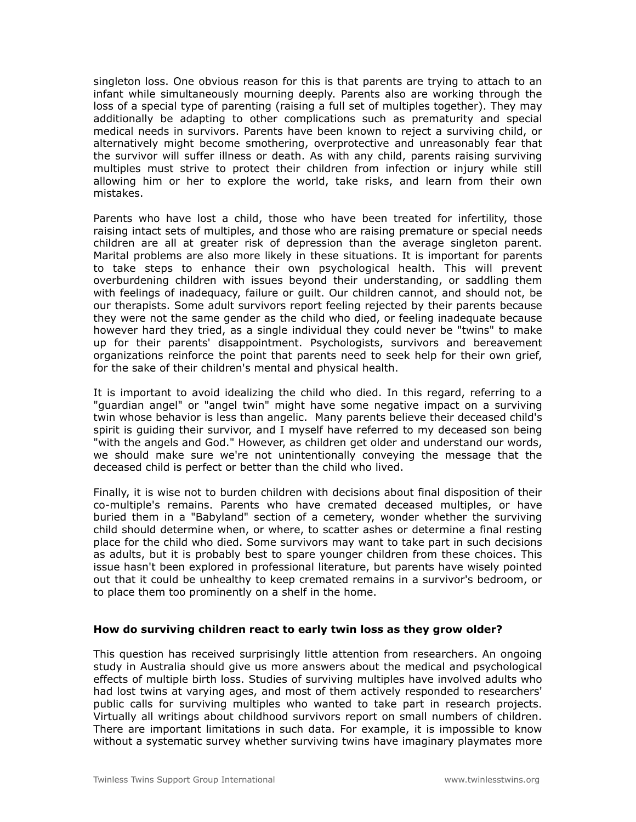singleton loss. One obvious reason for this is that parents are trying to attach to an infant while simultaneously mourning deeply. Parents also are working through the loss of a special type of parenting (raising a full set of multiples together). They may additionally be adapting to other complications such as prematurity and special medical needs in survivors. Parents have been known to reject a surviving child, or alternatively might become smothering, overprotective and unreasonably fear that the survivor will suffer illness or death. As with any child, parents raising surviving multiples must strive to protect their children from infection or injury while still allowing him or her to explore the world, take risks, and learn from their own mistakes.

Parents who have lost a child, those who have been treated for infertility, those raising intact sets of multiples, and those who are raising premature or special needs children are all at greater risk of depression than the average singleton parent. Marital problems are also more likely in these situations. It is important for parents to take steps to enhance their own psychological health. This will prevent overburdening children with issues beyond their understanding, or saddling them with feelings of inadequacy, failure or guilt. Our children cannot, and should not, be our therapists. Some adult survivors report feeling rejected by their parents because they were not the same gender as the child who died, or feeling inadequate because however hard they tried, as a single individual they could never be "twins" to make up for their parents' disappointment. Psychologists, survivors and bereavement organizations reinforce the point that parents need to seek help for their own grief, for the sake of their children's mental and physical health.

It is important to avoid idealizing the child who died. In this regard, referring to a "guardian angel" or "angel twin" might have some negative impact on a surviving twin whose behavior is less than angelic. Many parents believe their deceased child's spirit is guiding their survivor, and I myself have referred to my deceased son being "with the angels and God." However, as children get older and understand our words, we should make sure we're not unintentionally conveying the message that the deceased child is perfect or better than the child who lived.

Finally, it is wise not to burden children with decisions about final disposition of their co-multiple's remains. Parents who have cremated deceased multiples, or have buried them in a "Babyland" section of a cemetery, wonder whether the surviving child should determine when, or where, to scatter ashes or determine a final resting place for the child who died. Some survivors may want to take part in such decisions as adults, but it is probably best to spare younger children from these choices. This issue hasn't been explored in professional literature, but parents have wisely pointed out that it could be unhealthy to keep cremated remains in a survivor's bedroom, or to place them too prominently on a shelf in the home.

## **How do surviving children react to early twin loss as they grow older?**

This question has received surprisingly little attention from researchers. An ongoing study in Australia should give us more answers about the medical and psychological effects of multiple birth loss. Studies of surviving multiples have involved adults who had lost twins at varying ages, and most of them actively responded to researchers' public calls for surviving multiples who wanted to take part in research projects. Virtually all writings about childhood survivors report on small numbers of children. There are important limitations in such data. For example, it is impossible to know without a systematic survey whether surviving twins have imaginary playmates more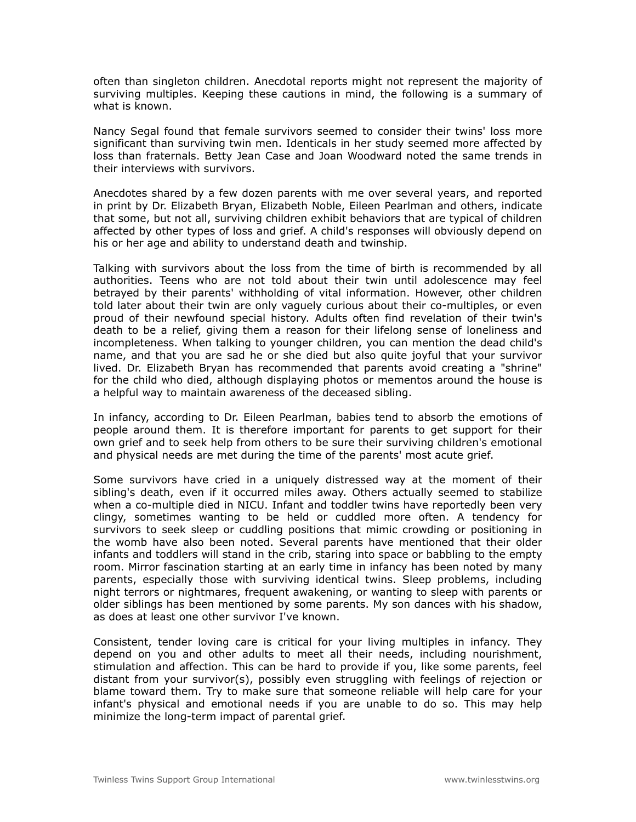often than singleton children. Anecdotal reports might not represent the majority of surviving multiples. Keeping these cautions in mind, the following is a summary of what is known.

Nancy Segal found that female survivors seemed to consider their twins' loss more significant than surviving twin men. Identicals in her study seemed more affected by loss than fraternals. Betty Jean Case and Joan Woodward noted the same trends in their interviews with survivors.

Anecdotes shared by a few dozen parents with me over several years, and reported in print by Dr. Elizabeth Bryan, Elizabeth Noble, Eileen Pearlman and others, indicate that some, but not all, surviving children exhibit behaviors that are typical of children affected by other types of loss and grief. A child's responses will obviously depend on his or her age and ability to understand death and twinship.

Talking with survivors about the loss from the time of birth is recommended by all authorities. Teens who are not told about their twin until adolescence may feel betrayed by their parents' withholding of vital information. However, other children told later about their twin are only vaguely curious about their co-multiples, or even proud of their newfound special history. Adults often find revelation of their twin's death to be a relief, giving them a reason for their lifelong sense of loneliness and incompleteness. When talking to younger children, you can mention the dead child's name, and that you are sad he or she died but also quite joyful that your survivor lived. Dr. Elizabeth Bryan has recommended that parents avoid creating a "shrine" for the child who died, although displaying photos or mementos around the house is a helpful way to maintain awareness of the deceased sibling.

In infancy, according to Dr. Eileen Pearlman, babies tend to absorb the emotions of people around them. It is therefore important for parents to get support for their own grief and to seek help from others to be sure their surviving children's emotional and physical needs are met during the time of the parents' most acute grief.

Some survivors have cried in a uniquely distressed way at the moment of their sibling's death, even if it occurred miles away. Others actually seemed to stabilize when a co-multiple died in NICU. Infant and toddler twins have reportedly been very clingy, sometimes wanting to be held or cuddled more often. A tendency for survivors to seek sleep or cuddling positions that mimic crowding or positioning in the womb have also been noted. Several parents have mentioned that their older infants and toddlers will stand in the crib, staring into space or babbling to the empty room. Mirror fascination starting at an early time in infancy has been noted by many parents, especially those with surviving identical twins. Sleep problems, including night terrors or nightmares, frequent awakening, or wanting to sleep with parents or older siblings has been mentioned by some parents. My son dances with his shadow, as does at least one other survivor I've known.

Consistent, tender loving care is critical for your living multiples in infancy. They depend on you and other adults to meet all their needs, including nourishment, stimulation and affection. This can be hard to provide if you, like some parents, feel distant from your survivor(s), possibly even struggling with feelings of rejection or blame toward them. Try to make sure that someone reliable will help care for your infant's physical and emotional needs if you are unable to do so. This may help minimize the long-term impact of parental grief.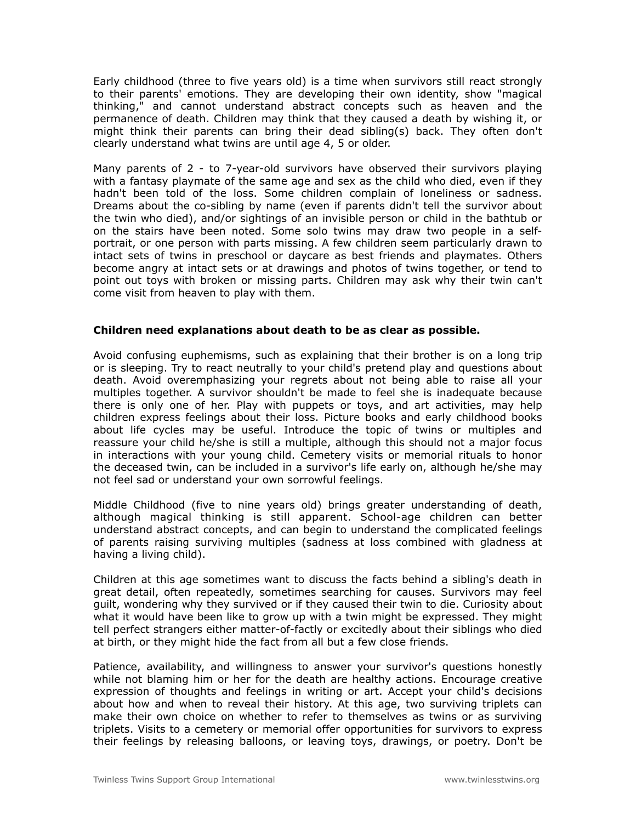Early childhood (three to five years old) is a time when survivors still react strongly to their parents' emotions. They are developing their own identity, show "magical thinking," and cannot understand abstract concepts such as heaven and the permanence of death. Children may think that they caused a death by wishing it, or might think their parents can bring their dead sibling(s) back. They often don't clearly understand what twins are until age 4, 5 or older.

Many parents of 2 - to 7-year-old survivors have observed their survivors playing with a fantasy playmate of the same age and sex as the child who died, even if they hadn't been told of the loss. Some children complain of loneliness or sadness. Dreams about the co-sibling by name (even if parents didn't tell the survivor about the twin who died), and/or sightings of an invisible person or child in the bathtub or on the stairs have been noted. Some solo twins may draw two people in a selfportrait, or one person with parts missing. A few children seem particularly drawn to intact sets of twins in preschool or daycare as best friends and playmates. Others become angry at intact sets or at drawings and photos of twins together, or tend to point out toys with broken or missing parts. Children may ask why their twin can't come visit from heaven to play with them.

## **Children need explanations about death to be as clear as possible.**

Avoid confusing euphemisms, such as explaining that their brother is on a long trip or is sleeping. Try to react neutrally to your child's pretend play and questions about death. Avoid overemphasizing your regrets about not being able to raise all your multiples together. A survivor shouldn't be made to feel she is inadequate because there is only one of her. Play with puppets or toys, and art activities, may help children express feelings about their loss. Picture books and early childhood books about life cycles may be useful. Introduce the topic of twins or multiples and reassure your child he/she is still a multiple, although this should not a major focus in interactions with your young child. Cemetery visits or memorial rituals to honor the deceased twin, can be included in a survivor's life early on, although he/she may not feel sad or understand your own sorrowful feelings.

Middle Childhood (five to nine years old) brings greater understanding of death, although magical thinking is still apparent. School-age children can better understand abstract concepts, and can begin to understand the complicated feelings of parents raising surviving multiples (sadness at loss combined with gladness at having a living child).

Children at this age sometimes want to discuss the facts behind a sibling's death in great detail, often repeatedly, sometimes searching for causes. Survivors may feel guilt, wondering why they survived or if they caused their twin to die. Curiosity about what it would have been like to grow up with a twin might be expressed. They might tell perfect strangers either matter-of-factly or excitedly about their siblings who died at birth, or they might hide the fact from all but a few close friends.

Patience, availability, and willingness to answer your survivor's questions honestly while not blaming him or her for the death are healthy actions. Encourage creative expression of thoughts and feelings in writing or art. Accept your child's decisions about how and when to reveal their history. At this age, two surviving triplets can make their own choice on whether to refer to themselves as twins or as surviving triplets. Visits to a cemetery or memorial offer opportunities for survivors to express their feelings by releasing balloons, or leaving toys, drawings, or poetry. Don't be